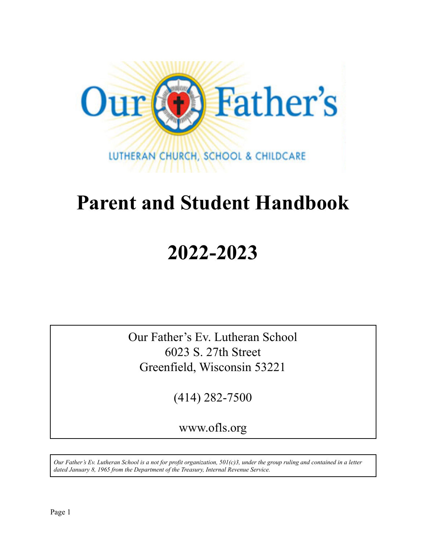

# **Parent and Student Handbook**

# **2022-2023**

Our Father's Ev. Lutheran School 6023 S. 27th Street Greenfield, Wisconsin 53221

(414) 282-7500

www.ofls.org

*Our Father's Ev. Lutheran School is a not for profit organization, 501(c)3, under the group ruling and contained in a letter dated January 8, 1965 from the Department of the Treasury, Internal Revenue Service.*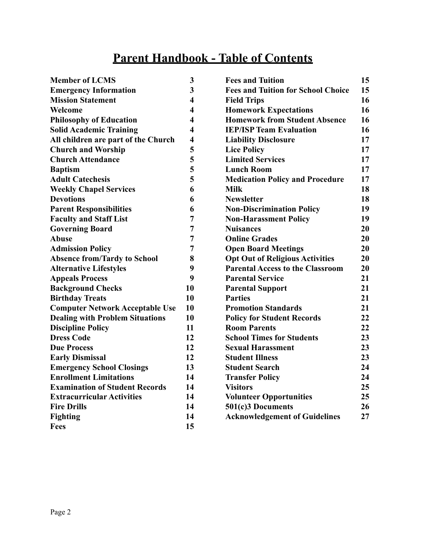## **Parent Handbook - Table of Contents**

| <b>Member of LCMS</b>                  | 3                       | <b>Fees and Tuition</b>                   | 15 |
|----------------------------------------|-------------------------|-------------------------------------------|----|
| <b>Emergency Information</b>           | 3                       | <b>Fees and Tuition for School Choice</b> | 15 |
| <b>Mission Statement</b>               | $\overline{\mathbf{4}}$ | <b>Field Trips</b>                        | 16 |
| Welcome                                | $\overline{\mathbf{4}}$ | <b>Homework Expectations</b>              | 16 |
| <b>Philosophy of Education</b>         | $\overline{\mathbf{4}}$ | <b>Homework from Student Absence</b>      | 16 |
| <b>Solid Academic Training</b>         | $\overline{\mathbf{4}}$ | <b>IEP/ISP Team Evaluation</b>            | 16 |
| All children are part of the Church    | $\overline{\mathbf{4}}$ | <b>Liability Disclosure</b>               | 17 |
| <b>Church and Worship</b>              | 5                       | <b>Lice Policy</b>                        | 17 |
| <b>Church Attendance</b>               | 5                       | <b>Limited Services</b>                   | 17 |
| <b>Baptism</b>                         | 5                       | <b>Lunch Room</b>                         | 17 |
| <b>Adult Catechesis</b>                | 5                       | <b>Medication Policy and Procedure</b>    | 17 |
| <b>Weekly Chapel Services</b>          | 6                       | <b>Milk</b>                               | 18 |
| <b>Devotions</b>                       | 6                       | <b>Newsletter</b>                         | 18 |
| <b>Parent Responsibilities</b>         | 6                       | <b>Non-Discrimination Policy</b>          | 19 |
| <b>Faculty and Staff List</b>          | 7                       | <b>Non-Harassment Policy</b>              | 19 |
| <b>Governing Board</b>                 | 7                       | <b>Nuisances</b>                          | 20 |
| <b>Abuse</b>                           | 7                       | <b>Online Grades</b>                      | 20 |
| <b>Admission Policy</b>                | 7                       | <b>Open Board Meetings</b>                | 20 |
| <b>Absence from/Tardy to School</b>    | 8                       | <b>Opt Out of Religious Activities</b>    | 20 |
| <b>Alternative Lifestyles</b>          | 9                       | <b>Parental Access to the Classroom</b>   | 20 |
| <b>Appeals Process</b>                 | 9                       | <b>Parental Service</b>                   | 21 |
| <b>Background Checks</b>               | 10                      | <b>Parental Support</b>                   | 21 |
| <b>Birthday Treats</b>                 | 10                      | <b>Parties</b>                            | 21 |
| <b>Computer Network Acceptable Use</b> | 10                      | <b>Promotion Standards</b>                | 21 |
| <b>Dealing with Problem Situations</b> | 10                      | <b>Policy for Student Records</b>         | 22 |
| <b>Discipline Policy</b>               | 11                      | <b>Room Parents</b>                       | 22 |
| <b>Dress Code</b>                      | 12                      | <b>School Times for Students</b>          | 23 |
| <b>Due Process</b>                     | 12                      | <b>Sexual Harassment</b>                  | 23 |
| <b>Early Dismissal</b>                 | 12                      | <b>Student Illness</b>                    | 23 |
| <b>Emergency School Closings</b>       | 13                      | <b>Student Search</b>                     | 24 |
| <b>Enrollment Limitations</b>          | 14                      | <b>Transfer Policy</b>                    | 24 |
| <b>Examination of Student Records</b>  | 14                      | <b>Visitors</b>                           | 25 |
| <b>Extracurricular Activities</b>      | 14                      | <b>Volunteer Opportunities</b>            | 25 |
| <b>Fire Drills</b>                     | 14                      | 501(c)3 Documents                         | 26 |
| Fighting                               | 14                      | <b>Acknowledgement of Guidelines</b>      | 27 |
| Fees                                   | 15                      |                                           |    |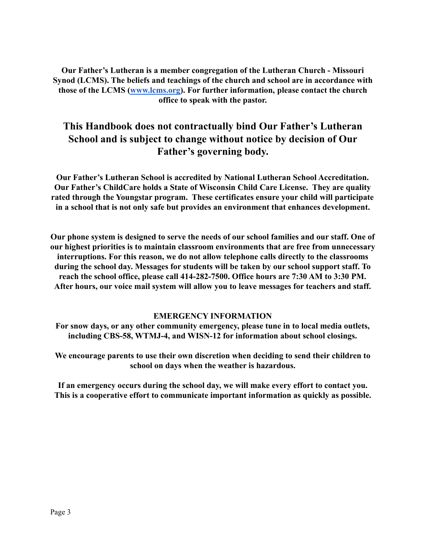**Our Father's Lutheran is a member congregation of the Lutheran Church - Missouri Synod (LCMS). The beliefs and teachings of the church and school are in accordance with those of the LCMS [\(www.lcms.org](http://www.lcms.org)). For further information, please contact the church office to speak with the pastor.**

## **This Handbook does not contractually bind Our Father's Lutheran School and is subject to change without notice by decision of Our Father's governing body.**

**Our Father's Lutheran School is accredited by National Lutheran School Accreditation. Our Father's ChildCare holds a State of Wisconsin Child Care License. They are quality rated through the Youngstar program. These certificates ensure your child will participate in a school that is not only safe but provides an environment that enhances development.**

**Our phone system is designed to serve the needs of our school families and our staff. One of our highest priorities is to maintain classroom environments that are free from unnecessary interruptions. For this reason, we do not allow telephone calls directly to the classrooms during the school day. Messages for students will be taken by our school support staff. To reach the school office, please call 414-282-7500. Office hours are 7:30 AM to 3:30 PM. After hours, our voice mail system will allow you to leave messages for teachers and staff.**

#### **EMERGENCY INFORMATION**

**For snow days, or any other community emergency, please tune in to local media outlets, including CBS-58, WTMJ-4, and WISN-12 for information about school closings.**

**We encourage parents to use their own discretion when deciding to send their children to school on days when the weather is hazardous.**

**If an emergency occurs during the school day, we will make every effort to contact you. This is a cooperative effort to communicate important information as quickly as possible.**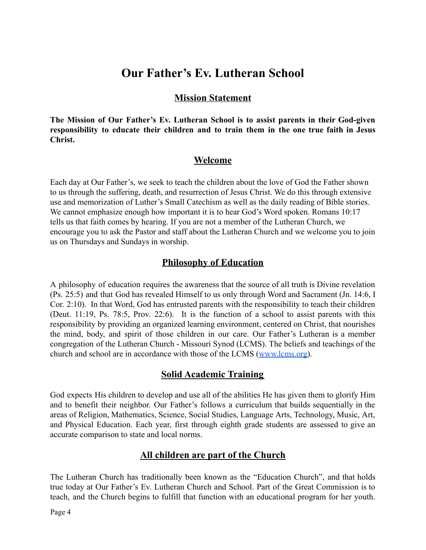## **Our Father's Ev. Lutheran School**

## **Mission Statement**

**The Mission of Our Father's Ev. Lutheran School is to assist parents in their God-given responsibility to educate their children and to train them in the one true faith in Jesus Christ.**

## **Welcome**

Each day at Our Father's, we seek to teach the children about the love of God the Father shown to us through the suffering, death, and resurrection of Jesus Christ. We do this through extensive use and memorization of Luther's Small Catechism as well as the daily reading of Bible stories. We cannot emphasize enough how important it is to hear God's Word spoken. Romans 10:17 tells us that faith comes by hearing. If you are not a member of the Lutheran Church, we encourage you to ask the Pastor and staff about the Lutheran Church and we welcome you to join us on Thursdays and Sundays in worship.

## **Philosophy of Education**

A philosophy of education requires the awareness that the source of all truth is Divine revelation (Ps. 25:5) and that God has revealed Himself to us only through Word and Sacrament (Jn. 14:6, I Cor. 2:10). In that Word, God has entrusted parents with the responsibility to teach their children (Deut. 11:19, Ps. 78:5, Prov. 22:6). It is the function of a school to assist parents with this responsibility by providing an organized learning environment, centered on Christ, that nourishes the mind, body, and spirit of those children in our care. Our Father's Lutheran is a member congregation of the Lutheran Church - Missouri Synod (LCMS). The beliefs and teachings of the church and school are in accordance with those of the LCMS [\(www.lcms.org\)](http://www.lcms.org).

## **Solid Academic Training**

God expects His children to develop and use all of the abilities He has given them to glorify Him and to benefit their neighbor. Our Father's follows a curriculum that builds sequentially in the areas of Religion, Mathematics, Science, Social Studies, Language Arts, Technology, Music, Art, and Physical Education. Each year, first through eighth grade students are assessed to give an accurate comparison to state and local norms.

## **All children are part of the Church**

The Lutheran Church has traditionally been known as the "Education Church", and that holds true today at Our Father's Ev. Lutheran Church and School. Part of the Great Commission is to teach, and the Church begins to fulfill that function with an educational program for her youth.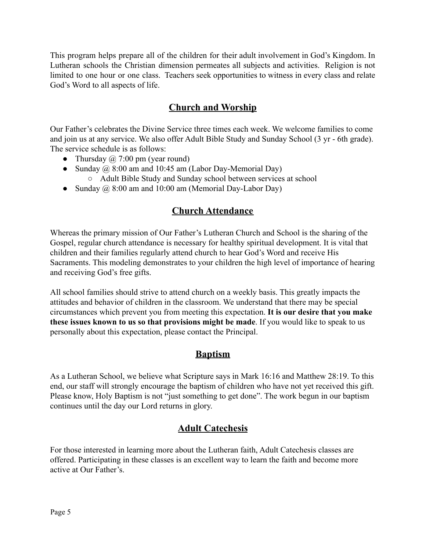This program helps prepare all of the children for their adult involvement in God's Kingdom. In Lutheran schools the Christian dimension permeates all subjects and activities. Religion is not limited to one hour or one class. Teachers seek opportunities to witness in every class and relate God's Word to all aspects of life.

## **Church and Worship**

Our Father's celebrates the Divine Service three times each week. We welcome families to come and join us at any service. We also offer Adult Bible Study and Sunday School (3 yr - 6th grade). The service schedule is as follows:

- Thursday  $\omega$ , 7:00 pm (year round)
- Sunday  $\omega$  8:00 am and 10:45 am (Labor Day-Memorial Day)
	- Adult Bible Study and Sunday school between services at school
- Sunday  $\omega$  8:00 am and 10:00 am (Memorial Day-Labor Day)

## **Church Attendance**

Whereas the primary mission of Our Father's Lutheran Church and School is the sharing of the Gospel, regular church attendance is necessary for healthy spiritual development. It is vital that children and their families regularly attend church to hear God's Word and receive His Sacraments. This modeling demonstrates to your children the high level of importance of hearing and receiving God's free gifts.

All school families should strive to attend church on a weekly basis. This greatly impacts the attitudes and behavior of children in the classroom. We understand that there may be special circumstances which prevent you from meeting this expectation. **It is our desire that you make these issues known to us so that provisions might be made**. If you would like to speak to us personally about this expectation, please contact the Principal.

## **Baptism**

As a Lutheran School, we believe what Scripture says in Mark 16:16 and Matthew 28:19. To this end, our staff will strongly encourage the baptism of children who have not yet received this gift. Please know, Holy Baptism is not "just something to get done". The work begun in our baptism continues until the day our Lord returns in glory.

## **Adult Catechesis**

For those interested in learning more about the Lutheran faith, Adult Catechesis classes are offered. Participating in these classes is an excellent way to learn the faith and become more active at Our Father's.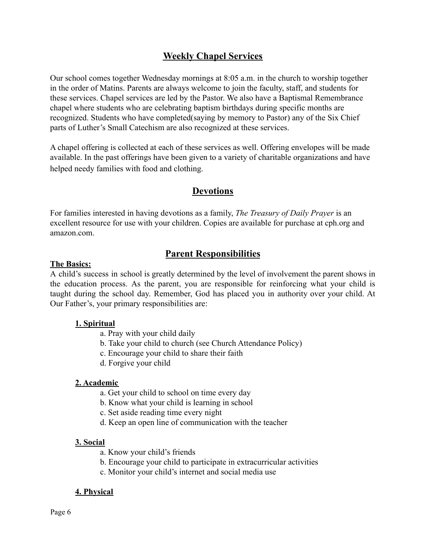## **Weekly Chapel Services**

Our school comes together Wednesday mornings at 8:05 a.m. in the church to worship together in the order of Matins. Parents are always welcome to join the faculty, staff, and students for these services. Chapel services are led by the Pastor. We also have a Baptismal Remembrance chapel where students who are celebrating baptism birthdays during specific months are recognized. Students who have completed(saying by memory to Pastor) any of the Six Chief parts of Luther's Small Catechism are also recognized at these services.

A chapel offering is collected at each of these services as well. Offering envelopes will be made available. In the past offerings have been given to a variety of charitable organizations and have helped needy families with food and clothing.

## **Devotions**

For families interested in having devotions as a family, *The Treasury of Daily Prayer* is an excellent resource for use with your children. Copies are available for purchase at cph.org and amazon.com.

## **Parent Responsibilities**

#### **The Basics:**

A child's success in school is greatly determined by the level of involvement the parent shows in the education process. As the parent, you are responsible for reinforcing what your child is taught during the school day. Remember, God has placed you in authority over your child. At Our Father's, your primary responsibilities are:

## **1. Spiritual**

- a. Pray with your child daily
- b. Take your child to church (see Church Attendance Policy)
- c. Encourage your child to share their faith
- d. Forgive your child

## **2. Academic**

- a. Get your child to school on time every day
- b. Know what your child is learning in school
- c. Set aside reading time every night
- d. Keep an open line of communication with the teacher

## **3. Social**

- a. Know your child's friends
- b. Encourage your child to participate in extracurricular activities
- c. Monitor your child's internet and social media use

#### **4. Physical**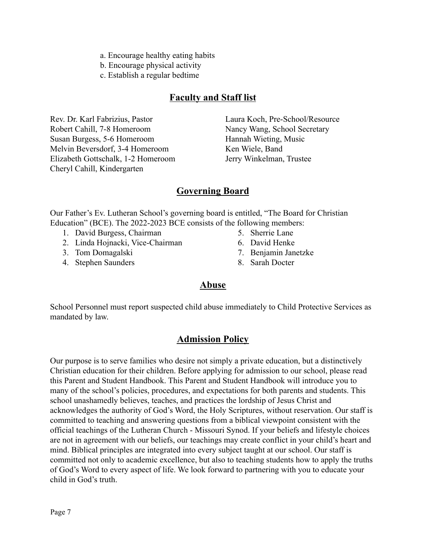- a. Encourage healthy eating habits
- b. Encourage physical activity
- c. Establish a regular bedtime

## **Faculty and Staff list**

Rev. Dr. Karl Fabrizius, Pastor Robert Cahill, 7-8 Homeroom Susan Burgess, 5-6 Homeroom Melvin Beversdorf, 3-4 Homeroom Elizabeth Gottschalk, 1-2 Homeroom Cheryl Cahill, Kindergarten

Laura Koch, Pre-School/Resource Nancy Wang, School Secretary Hannah Wieting, Music Ken Wiele, Band Jerry Winkelman, Trustee

## **Governing Board**

Our Father's Ev. Lutheran School's governing board is entitled, "The Board for Christian Education" (BCE). The 2022-2023 BCE consists of the following members:

- 1. David Burgess, Chairman
- 2. Linda Hojnacki, Vice-Chairman
- 3. Tom Domagalski
- 4. Stephen Saunders
- 5. Sherrie Lane
- 6. David Henke
- 7. Benjamin Janetzke
- 8. Sarah Docter

## **Abuse**

School Personnel must report suspected child abuse immediately to Child Protective Services as mandated by law.

## **Admission Policy**

Our purpose is to serve families who desire not simply a private education, but a distinctively Christian education for their children. Before applying for admission to our school, please read this Parent and Student Handbook. This Parent and Student Handbook will introduce you to many of the school's policies, procedures, and expectations for both parents and students. This school unashamedly believes, teaches, and practices the lordship of Jesus Christ and acknowledges the authority of God's Word, the Holy Scriptures, without reservation. Our staff is committed to teaching and answering questions from a biblical viewpoint consistent with the official teachings of the Lutheran Church - Missouri Synod. If your beliefs and lifestyle choices are not in agreement with our beliefs, our teachings may create conflict in your child's heart and mind. Biblical principles are integrated into every subject taught at our school. Our staff is committed not only to academic excellence, but also to teaching students how to apply the truths of God's Word to every aspect of life. We look forward to partnering with you to educate your child in God's truth.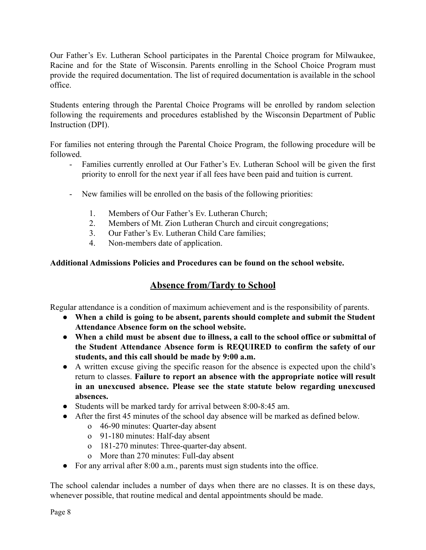Our Father's Ev. Lutheran School participates in the Parental Choice program for Milwaukee, Racine and for the State of Wisconsin. Parents enrolling in the School Choice Program must provide the required documentation. The list of required documentation is available in the school office.

Students entering through the Parental Choice Programs will be enrolled by random selection following the requirements and procedures established by the Wisconsin Department of Public Instruction (DPI).

For families not entering through the Parental Choice Program, the following procedure will be followed.

- Families currently enrolled at Our Father's Ev. Lutheran School will be given the first priority to enroll for the next year if all fees have been paid and tuition is current.
- New families will be enrolled on the basis of the following priorities:
	- 1. Members of Our Father's Ev. Lutheran Church;
	- 2. Members of Mt. Zion Lutheran Church and circuit congregations;
	- 3. Our Father's Ev. Lutheran Child Care families;
	- 4. Non-members date of application.

## **Additional Admissions Policies and Procedures can be found on the school website.**

## **Absence from/Tardy to School**

Regular attendance is a condition of maximum achievement and is the responsibility of parents.

- **When a child is going to be absent, parents should complete and submit the Student Attendance Absence form on the school website.**
- **When a child must be absent due to illness, a call to the school office or submittal of the Student Attendance Absence form is REQUIRED to confirm the safety of our students, and this call should be made by 9:00 a.m.**
- A written excuse giving the specific reason for the absence is expected upon the child's return to classes. **Failure to report an absence with the appropriate notice will result in an unexcused absence. Please see the state statute below regarding unexcused absences.**
- Students will be marked tardy for arrival between 8:00-8:45 am.
- After the first 45 minutes of the school day absence will be marked as defined below.
	- o 46-90 minutes: Quarter-day absent
	- o 91-180 minutes: Half-day absent
	- o 181-270 minutes: Three-quarter-day absent.
	- o More than 270 minutes: Full-day absent
- For any arrival after 8:00 a.m., parents must sign students into the office.

The school calendar includes a number of days when there are no classes. It is on these days, whenever possible, that routine medical and dental appointments should be made.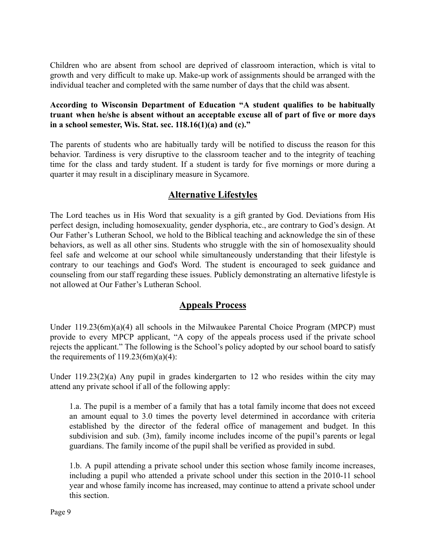Children who are absent from school are deprived of classroom interaction, which is vital to growth and very difficult to make up. Make-up work of assignments should be arranged with the individual teacher and completed with the same number of days that the child was absent.

## **According to Wisconsin Department of Education "A student qualifies to be habitually truant when he/she is absent without an acceptable excuse all of part of five or more days in a school semester, Wis. Stat. sec. 118.16(1)(a) and (c)."**

The parents of students who are habitually tardy will be notified to discuss the reason for this behavior. Tardiness is very disruptive to the classroom teacher and to the integrity of teaching time for the class and tardy student. If a student is tardy for five mornings or more during a quarter it may result in a disciplinary measure in Sycamore.

## **Alternative Lifestyles**

The Lord teaches us in His Word that sexuality is a gift granted by God. Deviations from His perfect design, including homosexuality, gender dysphoria, etc., are contrary to God's design. At Our Father's Lutheran School, we hold to the Biblical teaching and acknowledge the sin of these behaviors, as well as all other sins. Students who struggle with the sin of homosexuality should feel safe and welcome at our school while simultaneously understanding that their lifestyle is contrary to our teachings and God's Word. The student is encouraged to seek guidance and counseling from our staff regarding these issues. Publicly demonstrating an alternative lifestyle is not allowed at Our Father's Lutheran School.

## **Appeals Process**

Under 119.23(6m)(a)(4) all schools in the Milwaukee Parental Choice Program (MPCP) must provide to every MPCP applicant, "A copy of the appeals process used if the private school rejects the applicant." The following is the School's policy adopted by our school board to satisfy the requirements of  $119.23(6m)(a)(4)$ :

Under 119.23(2)(a) Any pupil in grades kindergarten to 12 who resides within the city may attend any private school if all of the following apply:

1.a. The pupil is a member of a family that has a total family income that does not exceed an amount equal to 3.0 times the poverty level determined in accordance with criteria established by the director of the federal office of management and budget. In this subdivision and sub. (3m), family income includes income of the pupil's parents or legal guardians. The family income of the pupil shall be verified as provided in subd.

1.b. A pupil attending a private school under this section whose family income increases, including a pupil who attended a private school under this section in the 2010-11 school year and whose family income has increased, may continue to attend a private school under this section.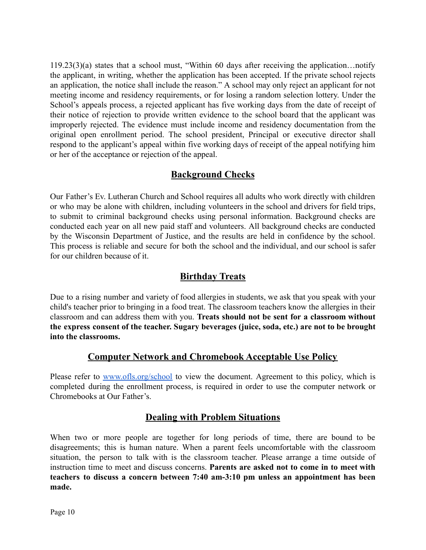119.23(3)(a) states that a school must, "Within 60 days after receiving the application…notify the applicant, in writing, whether the application has been accepted. If the private school rejects an application, the notice shall include the reason." A school may only reject an applicant for not meeting income and residency requirements, or for losing a random selection lottery. Under the School's appeals process, a rejected applicant has five working days from the date of receipt of their notice of rejection to provide written evidence to the school board that the applicant was improperly rejected. The evidence must include income and residency documentation from the original open enrollment period. The school president, Principal or executive director shall respond to the applicant's appeal within five working days of receipt of the appeal notifying him or her of the acceptance or rejection of the appeal.

## **Background Checks**

Our Father's Ev. Lutheran Church and School requires all adults who work directly with children or who may be alone with children, including volunteers in the school and drivers for field trips, to submit to criminal background checks using personal information. Background checks are conducted each year on all new paid staff and volunteers. All background checks are conducted by the Wisconsin Department of Justice, and the results are held in confidence by the school. This process is reliable and secure for both the school and the individual, and our school is safer for our children because of it.

## **Birthday Treats**

Due to a rising number and variety of food allergies in students, we ask that you speak with your child's teacher prior to bringing in a food treat. The classroom teachers know the allergies in their classroom and can address them with you. **Treats should not be sent for a classroom without the express consent of the teacher. Sugary beverages (juice, soda, etc.) are not to be brought into the classrooms.**

## **Computer Network and Chromebook Acceptable Use Policy**

Please refer to [www.ofls.org/school](http://www.ofls.org/school) to view the document. Agreement to this policy, which is completed during the enrollment process, is required in order to use the computer network or Chromebooks at Our Father's.

## **Dealing with Problem Situations**

When two or more people are together for long periods of time, there are bound to be disagreements; this is human nature. When a parent feels uncomfortable with the classroom situation, the person to talk with is the classroom teacher. Please arrange a time outside of instruction time to meet and discuss concerns. **Parents are asked not to come in to meet with teachers to discuss a concern between 7:40 am-3:10 pm unless an appointment has been made.**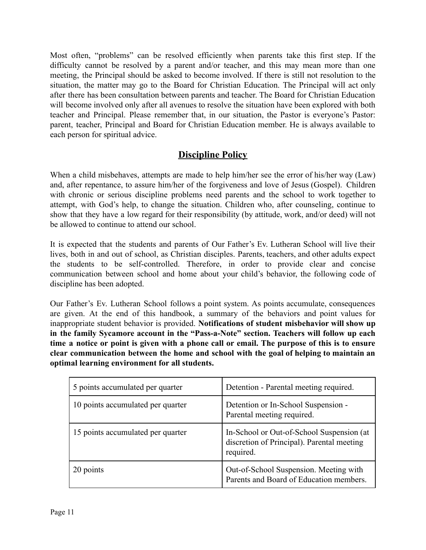Most often, "problems" can be resolved efficiently when parents take this first step. If the difficulty cannot be resolved by a parent and/or teacher, and this may mean more than one meeting, the Principal should be asked to become involved. If there is still not resolution to the situation, the matter may go to the Board for Christian Education. The Principal will act only after there has been consultation between parents and teacher. The Board for Christian Education will become involved only after all avenues to resolve the situation have been explored with both teacher and Principal. Please remember that, in our situation, the Pastor is everyone's Pastor: parent, teacher, Principal and Board for Christian Education member. He is always available to each person for spiritual advice.

## **Discipline Policy**

When a child misbehaves, attempts are made to help him/her see the error of his/her way (Law) and, after repentance, to assure him/her of the forgiveness and love of Jesus (Gospel). Children with chronic or serious discipline problems need parents and the school to work together to attempt, with God's help, to change the situation. Children who, after counseling, continue to show that they have a low regard for their responsibility (by attitude, work, and/or deed) will not be allowed to continue to attend our school.

It is expected that the students and parents of Our Father's Ev. Lutheran School will live their lives, both in and out of school, as Christian disciples. Parents, teachers, and other adults expect the students to be self-controlled. Therefore, in order to provide clear and concise communication between school and home about your child's behavior, the following code of discipline has been adopted.

Our Father's Ev. Lutheran School follows a point system. As points accumulate, consequences are given. At the end of this handbook, a summary of the behaviors and point values for inappropriate student behavior is provided. **Notifications of student misbehavior will show up in the family Sycamore account in the "Pass-a-Note" section. Teachers will follow up each** time a notice or point is given with a phone call or email. The purpose of this is to ensure **clear communication between the home and school with the goal of helping to maintain an optimal learning environment for all students.**

| 5 points accumulated per quarter  | Detention - Parental meeting required.                                                               |
|-----------------------------------|------------------------------------------------------------------------------------------------------|
| 10 points accumulated per quarter | Detention or In-School Suspension -<br>Parental meeting required.                                    |
| 15 points accumulated per quarter | In-School or Out-of-School Suspension (at<br>discretion of Principal). Parental meeting<br>required. |
| 20 points                         | Out-of-School Suspension. Meeting with<br>Parents and Board of Education members.                    |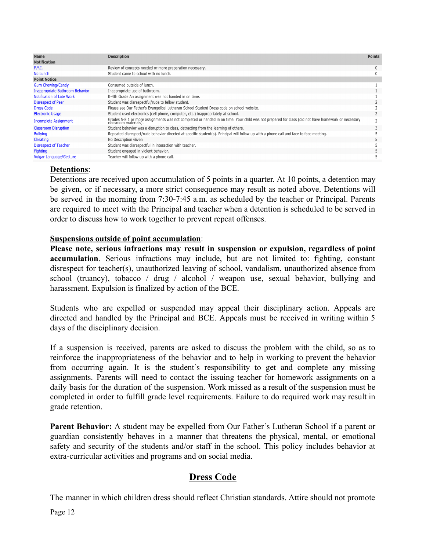| <b>Name</b>                            | <b>Description</b>                                                                                                                                                          | <b>Points</b> |
|----------------------------------------|-----------------------------------------------------------------------------------------------------------------------------------------------------------------------------|---------------|
| <b>Notification</b>                    |                                                                                                                                                                             |               |
| F.Y.I.                                 | Review of concepts needed or more preparation necessary.                                                                                                                    | $\mathbf{0}$  |
| No Lunch                               | Student came to school with no lunch.                                                                                                                                       | $\mathbf{0}$  |
| <b>Point Notice</b>                    |                                                                                                                                                                             |               |
| <b>Gum Chewing/Candy</b>               | Consumed outside of lunch.                                                                                                                                                  |               |
| <b>Inappropriate Bathroom Behavior</b> | Inappropriate use of bathroom.                                                                                                                                              |               |
| <b>Notification of Late Work</b>       | K-4th Grade An assignment was not handed in on time.                                                                                                                        |               |
| Disrespect of Peer                     | Student was disrespectful/rude to fellow student.                                                                                                                           |               |
| <b>Dress Code</b>                      | Please see Our Father's Evangelical Lutheran School Student Dress code on school website.                                                                                   |               |
| <b>Electronic Usage</b>                | Student used electronics (cell phone, computer, etc.) inappropriately at school.                                                                                            |               |
| <b>Incomplete Assignment</b>           | Grades 5-8 1 or more assignments was not completed or handed in on time. Your child was not prepared for class (did not have homework or necessary<br>classroom materials). |               |
| <b>Classroom Disruption</b>            | Student behavior was a disruption to class, detracting from the learning of others.                                                                                         |               |
| <b>Bullying</b>                        | Repeated disrespect/rude behavior directed at specific student(s). Principal will follow up with a phone call and face to face meeting.                                     |               |
| Cheating                               | No Description Given                                                                                                                                                        |               |
| <b>Disrespect of Teacher</b>           | Student was disrespectful in interaction with teacher.                                                                                                                      |               |
| <b>Fighting</b>                        | Student engaged in violent behavior.                                                                                                                                        |               |
| <b>Vulgar Language/Gesture</b>         | Teacher will follow up with a phone call.                                                                                                                                   |               |
|                                        |                                                                                                                                                                             |               |

## **Detentions**:

Detentions are received upon accumulation of 5 points in a quarter. At 10 points, a detention may be given, or if necessary, a more strict consequence may result as noted above. Detentions will be served in the morning from 7:30-7:45 a.m. as scheduled by the teacher or Principal. Parents are required to meet with the Principal and teacher when a detention is scheduled to be served in order to discuss how to work together to prevent repeat offenses.

## **Suspensions outside of point accumulation**:

**Please note, serious infractions may result in suspension or expulsion, regardless of point accumulation**. Serious infractions may include, but are not limited to: fighting, constant disrespect for teacher(s), unauthorized leaving of school, vandalism, unauthorized absence from school (truancy), tobacco / drug / alcohol / weapon use, sexual behavior, bullying and harassment. Expulsion is finalized by action of the BCE.

Students who are expelled or suspended may appeal their disciplinary action. Appeals are directed and handled by the Principal and BCE. Appeals must be received in writing within 5 days of the disciplinary decision.

If a suspension is received, parents are asked to discuss the problem with the child, so as to reinforce the inappropriateness of the behavior and to help in working to prevent the behavior from occurring again. It is the student's responsibility to get and complete any missing assignments. Parents will need to contact the issuing teacher for homework assignments on a daily basis for the duration of the suspension. Work missed as a result of the suspension must be completed in order to fulfill grade level requirements. Failure to do required work may result in grade retention.

**Parent Behavior:** A student may be expelled from Our Father's Lutheran School if a parent or guardian consistently behaves in a manner that threatens the physical, mental, or emotional safety and security of the students and/or staff in the school. This policy includes behavior at extra-curricular activities and programs and on social media.

## **Dress Code**

The manner in which children dress should reflect Christian standards. Attire should not promote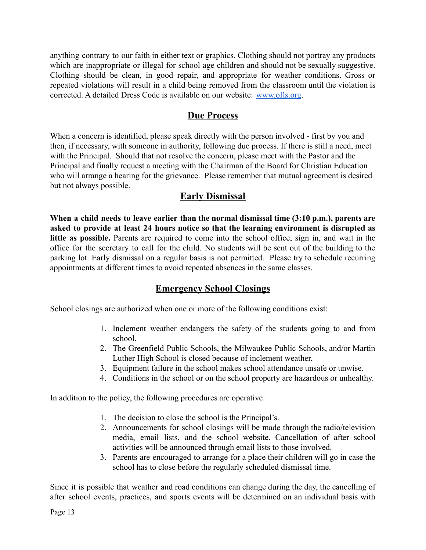anything contrary to our faith in either text or graphics. Clothing should not portray any products which are inappropriate or illegal for school age children and should not be sexually suggestive. Clothing should be clean, in good repair, and appropriate for weather conditions. Gross or repeated violations will result in a child being removed from the classroom until the violation is corrected. A detailed Dress Code is available on our website: [www.ofls.org](http://www.ofls.org).

## **Due Process**

When a concern is identified, please speak directly with the person involved - first by you and then, if necessary, with someone in authority, following due process. If there is still a need, meet with the Principal. Should that not resolve the concern, please meet with the Pastor and the Principal and finally request a meeting with the Chairman of the Board for Christian Education who will arrange a hearing for the grievance. Please remember that mutual agreement is desired but not always possible.

## **Early Dismissal**

**When a child needs to leave earlier than the normal dismissal time (3:10 p.m.), parents are asked to provide at least 24 hours notice so that the learning environment is disrupted as little as possible.** Parents are required to come into the school office, sign in, and wait in the office for the secretary to call for the child. No students will be sent out of the building to the parking lot. Early dismissal on a regular basis is not permitted. Please try to schedule recurring appointments at different times to avoid repeated absences in the same classes.

## **Emergency School Closings**

School closings are authorized when one or more of the following conditions exist:

- 1. Inclement weather endangers the safety of the students going to and from school.
- 2. The Greenfield Public Schools, the Milwaukee Public Schools, and/or Martin Luther High School is closed because of inclement weather.
- 3. Equipment failure in the school makes school attendance unsafe or unwise.
- 4. Conditions in the school or on the school property are hazardous or unhealthy.

In addition to the policy, the following procedures are operative:

- 1. The decision to close the school is the Principal's.
- 2. Announcements for school closings will be made through the radio/television media, email lists, and the school website. Cancellation of after school activities will be announced through email lists to those involved.
- 3. Parents are encouraged to arrange for a place their children will go in case the school has to close before the regularly scheduled dismissal time.

Since it is possible that weather and road conditions can change during the day, the cancelling of after school events, practices, and sports events will be determined on an individual basis with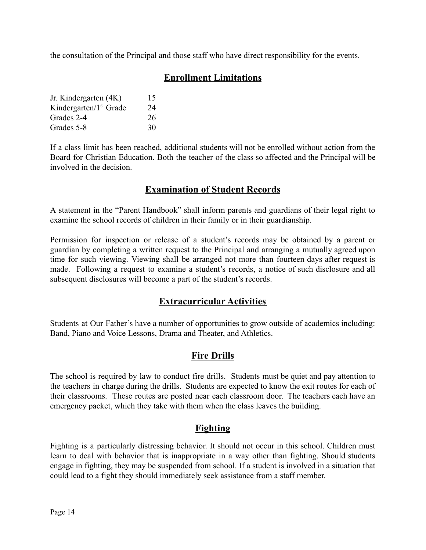the consultation of the Principal and those staff who have direct responsibility for the events.

## **Enrollment Limitations**

| Jr. Kindergarten (4K)              | 15 |
|------------------------------------|----|
| Kindergarten/1 <sup>st</sup> Grade | 24 |
| Grades 2-4                         | 26 |
| Grades 5-8                         | 30 |

If a class limit has been reached, additional students will not be enrolled without action from the Board for Christian Education. Both the teacher of the class so affected and the Principal will be involved in the decision.

## **Examination of Student Records**

A statement in the "Parent Handbook" shall inform parents and guardians of their legal right to examine the school records of children in their family or in their guardianship.

Permission for inspection or release of a student's records may be obtained by a parent or guardian by completing a written request to the Principal and arranging a mutually agreed upon time for such viewing. Viewing shall be arranged not more than fourteen days after request is made. Following a request to examine a student's records, a notice of such disclosure and all subsequent disclosures will become a part of the student's records.

## **Extracurricular Activities**

Students at Our Father's have a number of opportunities to grow outside of academics including: Band, Piano and Voice Lessons, Drama and Theater, and Athletics.

## **Fire Drills**

The school is required by law to conduct fire drills. Students must be quiet and pay attention to the teachers in charge during the drills. Students are expected to know the exit routes for each of their classrooms. These routes are posted near each classroom door. The teachers each have an emergency packet, which they take with them when the class leaves the building.

## **Fighting**

Fighting is a particularly distressing behavior. It should not occur in this school. Children must learn to deal with behavior that is inappropriate in a way other than fighting. Should students engage in fighting, they may be suspended from school. If a student is involved in a situation that could lead to a fight they should immediately seek assistance from a staff member.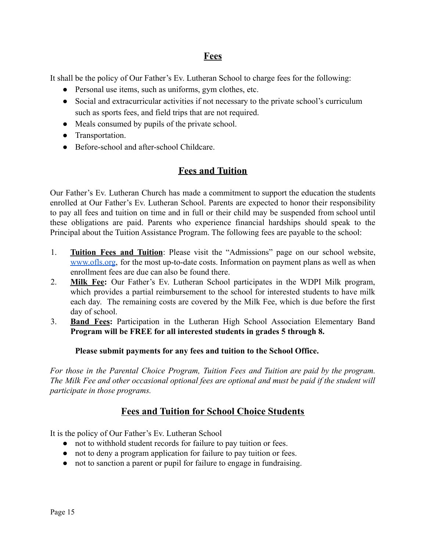## **Fees**

It shall be the policy of Our Father's Ev. Lutheran School to charge fees for the following:

- Personal use items, such as uniforms, gym clothes, etc.
- Social and extracurricular activities if not necessary to the private school's curriculum such as sports fees, and field trips that are not required.
- Meals consumed by pupils of the private school.
- Transportation.
- Before-school and after-school Childcare

## **Fees and Tuition**

Our Father's Ev. Lutheran Church has made a commitment to support the education the students enrolled at Our Father's Ev. Lutheran School. Parents are expected to honor their responsibility to pay all fees and tuition on time and in full or their child may be suspended from school until these obligations are paid. Parents who experience financial hardships should speak to the Principal about the Tuition Assistance Program. The following fees are payable to the school:

- 1. **Tuition Fees and Tuition**: Please visit the "Admissions" page on our school website, [www.ofls.org](http://www.ofls.org), for the most up-to-date costs. Information on payment plans as well as when enrollment fees are due can also be found there.
- 2. **Milk Fee:** Our Father's Ev. Lutheran School participates in the WDPI Milk program, which provides a partial reimbursement to the school for interested students to have milk each day. The remaining costs are covered by the Milk Fee, which is due before the first day of school.
- 3. **Band Fees:** Participation in the Lutheran High School Association Elementary Band **Program will be FREE for all interested students in grades 5 through 8.**

## **Please submit payments for any fees and tuition to the School Office.**

*For those in the Parental Choice Program, Tuition Fees and Tuition are paid by the program. The Milk Fee and other occasional optional fees are optional and must be paid if the student will participate in those programs.*

## **Fees and Tuition for School Choice Students**

It is the policy of Our Father's Ev. Lutheran School

- not to withhold student records for failure to pay tuition or fees.
- not to deny a program application for failure to pay tuition or fees.
- not to sanction a parent or pupil for failure to engage in fundraising.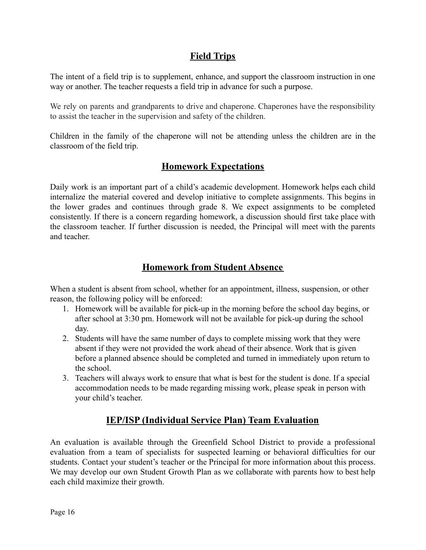## **Field Trips**

The intent of a field trip is to supplement, enhance, and support the classroom instruction in one way or another. The teacher requests a field trip in advance for such a purpose.

We rely on parents and grandparents to drive and chaperone. Chaperones have the responsibility to assist the teacher in the supervision and safety of the children.

Children in the family of the chaperone will not be attending unless the children are in the classroom of the field trip.

## **Homework Expectations**

Daily work is an important part of a child's academic development. Homework helps each child internalize the material covered and develop initiative to complete assignments. This begins in the lower grades and continues through grade 8. We expect assignments to be completed consistently. If there is a concern regarding homework, a discussion should first take place with the classroom teacher. If further discussion is needed, the Principal will meet with the parents and teacher.

## **Homework from Student Absence**

When a student is absent from school, whether for an appointment, illness, suspension, or other reason, the following policy will be enforced:

- 1. Homework will be available for pick-up in the morning before the school day begins, or after school at 3:30 pm. Homework will not be available for pick-up during the school day.
- 2. Students will have the same number of days to complete missing work that they were absent if they were not provided the work ahead of their absence. Work that is given before a planned absence should be completed and turned in immediately upon return to the school.
- 3. Teachers will always work to ensure that what is best for the student is done. If a special accommodation needs to be made regarding missing work, please speak in person with your child's teacher.

## **IEP/ISP (Individual Service Plan) Team Evaluation**

An evaluation is available through the Greenfield School District to provide a professional evaluation from a team of specialists for suspected learning or behavioral difficulties for our students. Contact your student's teacher or the Principal for more information about this process. We may develop our own Student Growth Plan as we collaborate with parents how to best help each child maximize their growth.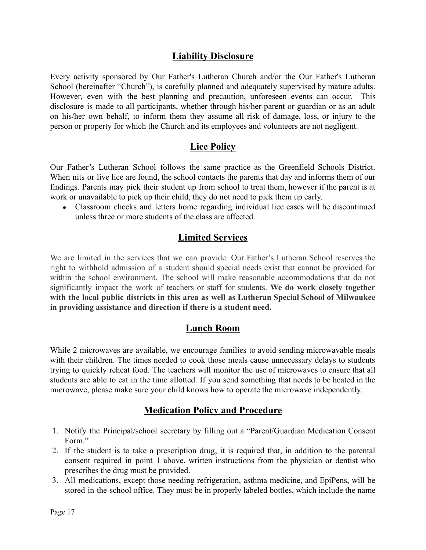## **Liability Disclosure**

Every activity sponsored by Our Father's Lutheran Church and/or the Our Father's Lutheran School (hereinafter "Church"), is carefully planned and adequately supervised by mature adults. However, even with the best planning and precaution, unforeseen events can occur. This disclosure is made to all participants, whether through his/her parent or guardian or as an adult on his/her own behalf, to inform them they assume all risk of damage, loss, or injury to the person or property for which the Church and its employees and volunteers are not negligent.

## **Lice Policy**

Our Father's Lutheran School follows the same practice as the Greenfield Schools District. When nits or live lice are found, the school contacts the parents that day and informs them of our findings. Parents may pick their student up from school to treat them, however if the parent is at work or unavailable to pick up their child, they do not need to pick them up early.

• Classroom checks and letters home regarding individual lice cases will be discontinued unless three or more students of the class are affected.

## **Limited Services**

We are limited in the services that we can provide. Our Father's Lutheran School reserves the right to withhold admission of a student should special needs exist that cannot be provided for within the school environment. The school will make reasonable accommodations that do not significantly impact the work of teachers or staff for students. **We do work closely together with the local public districts in this area as well as Lutheran Special School of Milwaukee in providing assistance and direction if there is a student need.**

## **Lunch Room**

While 2 microwaves are available, we encourage families to avoid sending microwavable meals with their children. The times needed to cook those meals cause unnecessary delays to students trying to quickly reheat food. The teachers will monitor the use of microwaves to ensure that all students are able to eat in the time allotted. If you send something that needs to be heated in the microwave, please make sure your child knows how to operate the microwave independently.

## **Medication Policy and Procedure**

- 1. Notify the Principal/school secretary by filling out a "Parent/Guardian Medication Consent Form."
- 2. If the student is to take a prescription drug, it is required that, in addition to the parental consent required in point 1 above, written instructions from the physician or dentist who prescribes the drug must be provided.
- 3. All medications, except those needing refrigeration, asthma medicine, and EpiPens, will be stored in the school office. They must be in properly labeled bottles, which include the name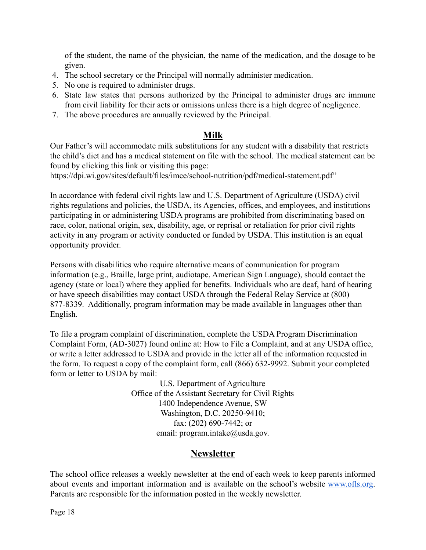of the student, the name of the physician, the name of the medication, and the dosage to be given.

- 4. The school secretary or the Principal will normally administer medication.
- 5. No one is required to administer drugs.
- 6. State law states that persons authorized by the Principal to administer drugs are immune from civil liability for their acts or omissions unless there is a high degree of negligence.
- 7. The above procedures are annually reviewed by the Principal.

## **Milk**

Our Father's will accommodate milk substitutions for any student with a disability that restricts the child's diet and has a medical statement on file with the school. The medical statement can be found by clicking this [link](https://dpi.wi.gov/sites/default/files/imce/school-nutrition/pdf/medical-statement.pdf) or visiting this page:

<https://dpi.wi.gov/sites/default/files/imce/school-nutrition/pdf/medical-statement.pdf>"

In accordance with federal civil rights law and U.S. Department of Agriculture (USDA) civil rights regulations and policies, the USDA, its Agencies, offices, and employees, and institutions participating in or administering USDA programs are prohibited from discriminating based on race, color, national origin, sex, disability, age, or reprisal or retaliation for prior civil rights activity in any program or activity conducted or funded by USDA. This institution is an equal opportunity provider.

Persons with disabilities who require alternative means of communication for program information (e.g., Braille, large print, audiotape, American Sign Language), should contact the agency (state or local) where they applied for benefits. Individuals who are deaf, hard of hearing or have speech disabilities may contact USDA through the Federal Relay Service at (800) 877-8339. Additionally, program information may be made available in languages other than English.

To file a program complaint of discrimination, complete the [USDA Program Discrimination](https://www.usda.gov/sites/default/files/documents/USDA-OASCR%20P-Complaint-Form-0508-0002-508-11-28-17Fax2Mail.pdf) [Complaint Form,](https://www.usda.gov/sites/default/files/documents/USDA-OASCR%20P-Complaint-Form-0508-0002-508-11-28-17Fax2Mail.pdf) (AD-3027) found online at: How to [File a Complaint](https://www.usda.gov/oascr/how-to-file-a-program-discrimination-complaint), and at any USDA office, or write a letter addressed to USDA and provide in the letter all of the information requested in the form. To request a copy of the complaint form, call (866) 632-9992. Submit your completed form or letter to USDA by mail:

> U.S. Department of Agriculture Office of the Assistant Secretary for Civil Rights 1400 Independence Avenue, SW Washington, D.C. 20250-9410; fax: (202) 690-7442; or email: program.intake@usda.gov.

## **Newsletter**

The school office releases a weekly newsletter at the end of each week to keep parents informed about events and important information and is available on the school's website [www.ofls.org](http://www.ofls.org). Parents are responsible for the information posted in the weekly newsletter.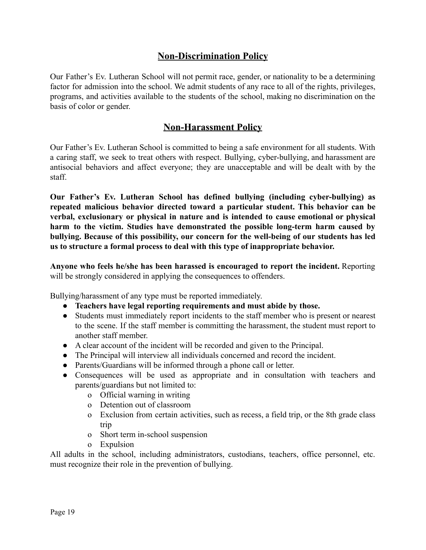## **Non-Discrimination Policy**

Our Father's Ev. Lutheran School will not permit race, gender, or nationality to be a determining factor for admission into the school. We admit students of any race to all of the rights, privileges, programs, and activities available to the students of the school, making no discrimination on the basis of color or gender.

## **Non-Harassment Policy**

Our Father's Ev. Lutheran School is committed to being a safe environment for all students. With a caring staff, we seek to treat others with respect. Bullying, cyber-bullying, and harassment are antisocial behaviors and affect everyone; they are unacceptable and will be dealt with by the staff.

**Our Father's Ev. Lutheran School has defined bullying (including cyber-bullying) as repeated malicious behavior directed toward a particular student. This behavior can be verbal, exclusionary or physical in nature and is intended to cause emotional or physical harm to the victim. Studies have demonstrated the possible long-term harm caused by bullying. Because of this possibility, our concern for the well-being of our students has led us to structure a formal process to deal with this type of inappropriate behavior.**

**Anyone who feels he/she has been harassed is encouraged to report the incident.** Reporting will be strongly considered in applying the consequences to offenders.

Bullying/harassment of any type must be reported immediately.

- **● Teachers have legal reporting requirements and must abide by those.**
- Students must immediately report incidents to the staff member who is present or nearest to the scene. If the staff member is committing the harassment, the student must report to another staff member.
- A clear account of the incident will be recorded and given to the Principal.
- The Principal will interview all individuals concerned and record the incident.
- Parents/Guardians will be informed through a phone call or letter.
- Consequences will be used as appropriate and in consultation with teachers and parents/guardians but not limited to:
	- o Official warning in writing
	- o Detention out of classroom
	- o Exclusion from certain activities, such as recess, a field trip, or the 8th grade class trip
	- o Short term in-school suspension
	- o Expulsion

All adults in the school, including administrators, custodians, teachers, office personnel, etc. must recognize their role in the prevention of bullying.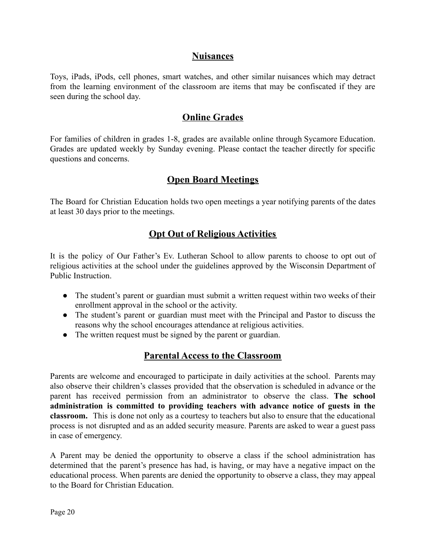## **Nuisances**

Toys, iPads, iPods, cell phones, smart watches, and other similar nuisances which may detract from the learning environment of the classroom are items that may be confiscated if they are seen during the school day.

## **Online Grades**

For families of children in grades 1-8, grades are available online through Sycamore Education. Grades are updated weekly by Sunday evening. Please contact the teacher directly for specific questions and concerns.

## **Open Board Meetings**

The Board for Christian Education holds two open meetings a year notifying parents of the dates at least 30 days prior to the meetings.

## **Opt Out of Religious Activities**

It is the policy of Our Father's Ev. Lutheran School to allow parents to choose to opt out of religious activities at the school under the guidelines approved by the Wisconsin Department of Public Instruction.

- The student's parent or guardian must submit a written request within two weeks of their enrollment approval in the school or the activity.
- The student's parent or guardian must meet with the Principal and Pastor to discuss the reasons why the school encourages attendance at religious activities.
- The written request must be signed by the parent or guardian.

## **Parental Access to the Classroom**

Parents are welcome and encouraged to participate in daily activities at the school. Parents may also observe their children's classes provided that the observation is scheduled in advance or the parent has received permission from an administrator to observe the class. **The school administration is committed to providing teachers with advance notice of guests in the classroom.** This is done not only as a courtesy to teachers but also to ensure that the educational process is not disrupted and as an added security measure. Parents are asked to wear a guest pass in case of emergency.

A Parent may be denied the opportunity to observe a class if the school administration has determined that the parent's presence has had, is having, or may have a negative impact on the educational process. When parents are denied the opportunity to observe a class, they may appeal to the Board for Christian Education.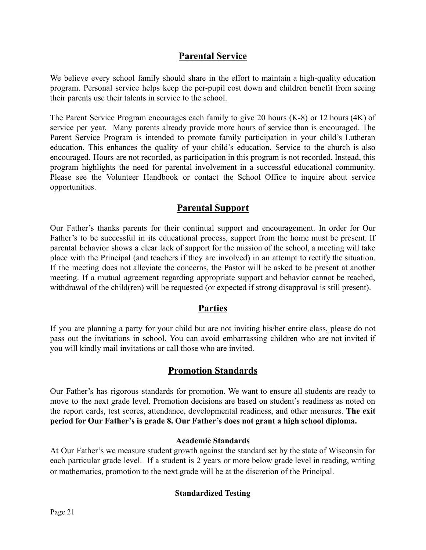## **Parental Service**

We believe every school family should share in the effort to maintain a high-quality education program. Personal service helps keep the per-pupil cost down and children benefit from seeing their parents use their talents in service to the school.

The Parent Service Program encourages each family to give 20 hours (K-8) or 12 hours (4K) of service per year. Many parents already provide more hours of service than is encouraged. The Parent Service Program is intended to promote family participation in your child's Lutheran education. This enhances the quality of your child's education. Service to the church is also encouraged. Hours are not recorded, as participation in this program is not recorded. Instead, this program highlights the need for parental involvement in a successful educational community. Please see the Volunteer Handbook or contact the School Office to inquire about service opportunities.

## **Parental Support**

Our Father's thanks parents for their continual support and encouragement. In order for Our Father's to be successful in its educational process, support from the home must be present. If parental behavior shows a clear lack of support for the mission of the school, a meeting will take place with the Principal (and teachers if they are involved) in an attempt to rectify the situation. If the meeting does not alleviate the concerns, the Pastor will be asked to be present at another meeting. If a mutual agreement regarding appropriate support and behavior cannot be reached, withdrawal of the child(ren) will be requested (or expected if strong disapproval is still present).

## **Parties**

If you are planning a party for your child but are not inviting his/her entire class, please do not pass out the invitations in school. You can avoid embarrassing children who are not invited if you will kindly mail invitations or call those who are invited.

## **Promotion Standards**

Our Father's has rigorous standards for promotion. We want to ensure all students are ready to move to the next grade level. Promotion decisions are based on student's readiness as noted on the report cards, test scores, attendance, developmental readiness, and other measures. **The exit period for Our Father's is grade 8. Our Father's does not grant a high school diploma.**

## **Academic Standards**

At Our Father's we measure student growth against the standard set by the state of Wisconsin for each particular grade level. If a student is 2 years or more below grade level in reading, writing or mathematics, promotion to the next grade will be at the discretion of the Principal.

## **Standardized Testing**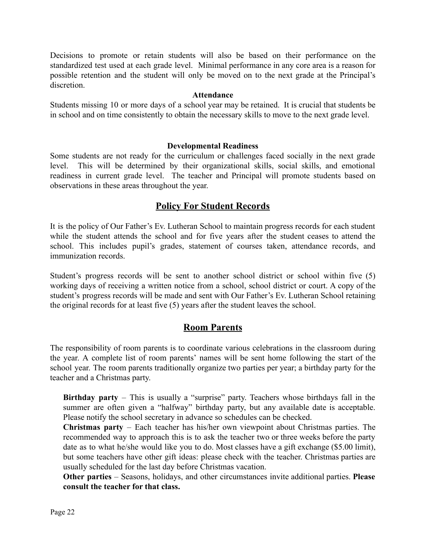Decisions to promote or retain students will also be based on their performance on the standardized test used at each grade level. Minimal performance in any core area is a reason for possible retention and the student will only be moved on to the next grade at the Principal's discretion.

#### **Attendance**

Students missing 10 or more days of a school year may be retained. It is crucial that students be in school and on time consistently to obtain the necessary skills to move to the next grade level.

#### **Developmental Readiness**

Some students are not ready for the curriculum or challenges faced socially in the next grade level. This will be determined by their organizational skills, social skills, and emotional readiness in current grade level. The teacher and Principal will promote students based on observations in these areas throughout the year.

## **Policy For Student Records**

It is the policy of Our Father's Ev. Lutheran School to maintain progress records for each student while the student attends the school and for five years after the student ceases to attend the school. This includes pupil's grades, statement of courses taken, attendance records, and immunization records.

Student's progress records will be sent to another school district or school within five (5) working days of receiving a written notice from a school, school district or court. A copy of the student's progress records will be made and sent with Our Father's Ev. Lutheran School retaining the original records for at least five (5) years after the student leaves the school.

## **Room Parents**

The responsibility of room parents is to coordinate various celebrations in the classroom during the year. A complete list of room parents' names will be sent home following the start of the school year. The room parents traditionally organize two parties per year; a birthday party for the teacher and a Christmas party.

**Birthday party** – This is usually a "surprise" party. Teachers whose birthdays fall in the summer are often given a "halfway" birthday party, but any available date is acceptable. Please notify the school secretary in advance so schedules can be checked.

**Christmas party** – Each teacher has his/her own viewpoint about Christmas parties. The recommended way to approach this is to ask the teacher two or three weeks before the party date as to what he/she would like you to do. Most classes have a gift exchange (\$5.00 limit), but some teachers have other gift ideas: please check with the teacher. Christmas parties are usually scheduled for the last day before Christmas vacation.

**Other parties** – Seasons, holidays, and other circumstances invite additional parties. **Please consult the teacher for that class.**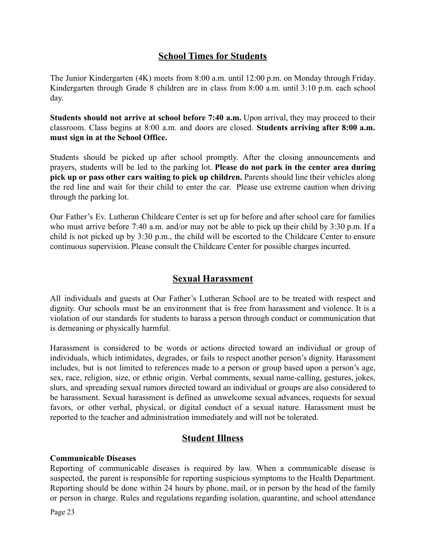## **School Times for Students**

The Junior Kindergarten (4K) meets from 8:00 a.m. until 12:00 p.m. on Monday through Friday. Kindergarten through Grade 8 children are in class from 8:00 a.m. until 3:10 p.m. each school day.

**Students should not arrive at school before 7:40 a.m.** Upon arrival, they may proceed to their classroom. Class begins at 8:00 a.m. and doors are closed. **Students arriving after 8:00 a.m. must sign in at the School Office.**

Students should be picked up after school promptly. After the closing announcements and prayers, students will be led to the parking lot. **Please do not park in the center area during pick up or pass other cars waiting to pick up children.** Parents should line their vehicles along the red line and wait for their child to enter the car. Please use extreme caution when driving through the parking lot.

Our Father's Ev. Lutheran Childcare Center is set up for before and after school care for families who must arrive before 7:40 a.m. and/or may not be able to pick up their child by 3:30 p.m. If a child is not picked up by 3:30 p.m., the child will be escorted to the Childcare Center to ensure continuous supervision. Please consult the Childcare Center for possible charges incurred.

## **Sexual Harassment**

All individuals and guests at Our Father's Lutheran School are to be treated with respect and dignity. Our schools must be an environment that is free from harassment and violence. It is a violation of our standards for students to harass a person through conduct or communication that is demeaning or physically harmful.

Harassment is considered to be words or actions directed toward an individual or group of individuals, which intimidates, degrades, or fails to respect another person's dignity. Harassment includes, but is not limited to references made to a person or group based upon a person's age, sex, race, religion, size, or ethnic origin. Verbal comments, sexual name-calling, gestures, jokes, slurs, and spreading sexual rumors directed toward an individual or groups are also considered to be harassment. Sexual harassment is defined as unwelcome sexual advances, requests for sexual favors, or other verbal, physical, or digital conduct of a sexual nature. Harassment must be reported to the teacher and administration immediately and will not be tolerated.

## **Student Illness**

## **Communicable Diseases**

Reporting of communicable diseases is required by law. When a communicable disease is suspected, the parent is responsible for reporting suspicious symptoms to the Health Department. Reporting should be done within 24 hours by phone, mail, or in person by the head of the family or person in charge. Rules and regulations regarding isolation, quarantine, and school attendance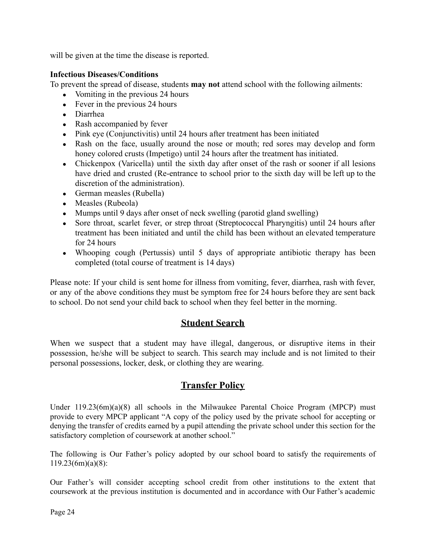will be given at the time the disease is reported.

## **Infectious Diseases/Conditions**

To prevent the spread of disease, students **may not** attend school with the following ailments:

- $\bullet$  Vomiting in the previous 24 hours
- $\bullet$  Fever in the previous 24 hours
- Diarrhea
- Rash accompanied by fever
- Pink eye (Conjunctivitis) until 24 hours after treatment has been initiated
- Rash on the face, usually around the nose or mouth; red sores may develop and form honey colored crusts (Impetigo) until 24 hours after the treatment has initiated.
- Chickenpox (Varicella) until the sixth day after onset of the rash or sooner if all lesions have dried and crusted (Re-entrance to school prior to the sixth day will be left up to the discretion of the administration).
- German measles (Rubella)
- Measles (Rubeola)
- Mumps until 9 days after onset of neck swelling (parotid gland swelling)
- Sore throat, scarlet fever, or strep throat (Streptococcal Pharyngitis) until 24 hours after treatment has been initiated and until the child has been without an elevated temperature for 24 hours
- Whooping cough (Pertussis) until 5 days of appropriate antibiotic therapy has been completed (total course of treatment is 14 days)

Please note: If your child is sent home for illness from vomiting, fever, diarrhea, rash with fever, or any of the above conditions they must be symptom free for 24 hours before they are sent back to school. Do not send your child back to school when they feel better in the morning.

## **Student Search**

When we suspect that a student may have illegal, dangerous, or disruptive items in their possession, he/she will be subject to search. This search may include and is not limited to their personal possessions, locker, desk, or clothing they are wearing.

## **Transfer Policy**

Under 119.23(6m)(a)(8) all schools in the Milwaukee Parental Choice Program (MPCP) must provide to every MPCP applicant "A copy of the policy used by the private school for accepting or denying the transfer of credits earned by a pupil attending the private school under this section for the satisfactory completion of coursework at another school."

The following is Our Father's policy adopted by our school board to satisfy the requirements of 119.23(6m)(a)(8):

Our Father's will consider accepting school credit from other institutions to the extent that coursework at the previous institution is documented and in accordance with Our Father's academic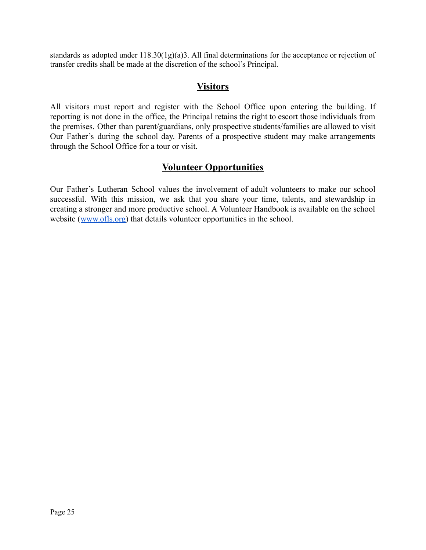standards as adopted under 118.30(1g)(a)3. All final determinations for the acceptance or rejection of transfer credits shall be made at the discretion of the school's Principal.

## **Visitors**

All visitors must report and register with the School Office upon entering the building. If reporting is not done in the office, the Principal retains the right to escort those individuals from the premises. Other than parent/guardians, only prospective students/families are allowed to visit Our Father's during the school day. Parents of a prospective student may make arrangements through the School Office for a tour or visit.

## **Volunteer Opportunities**

Our Father's Lutheran School values the involvement of adult volunteers to make our school successful. With this mission, we ask that you share your time, talents, and stewardship in creating a stronger and more productive school. A Volunteer Handbook is available on the school website ([www.ofls.org\)](http://www.ofls.org) that details volunteer opportunities in the school.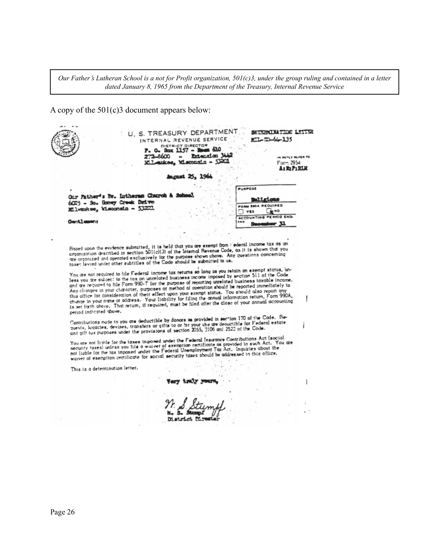Our Father's Lutheran School is a not for Profit organization,  $50I(c)3$ , under the group ruling and contained in a letter *dated January 8, 1965 from the Department of the Treasury, Internal Revenue Service*

A copy of the 501(c)3 document appears below:

U. S. TREASURY DEPARTMENT BUILDING NATION LITTER INTERNAL REVENUE SERVICE  $K/L = 50 - 64 - 135$ DISTRICT DIRECTOR in a 0. Box 1157 - Bom 610 P. Extension 3442 272-8600 REFLY REFER TO  $\overline{\phantom{a}}$ Mileukee, Misconsin - 53201 Form 2954 A: 32 P: RLK **August 25, 1964** PURPOSE Our Father's By. Intheres Church & School **mitricus** 6025 - So. Honey Creek Drive FORM SSOA REQUIRED Milwaukee, Wisconsin - 53221 **Ex**<sup>10</sup> **VES** ACCOUNTING PERIOD END **Centlement** 'n. Hosed upon the evidence submitted, it is held that you are exempt from  $\pm$  ederal income tax as an organization described in section SOI(c)(3) of the Internal Revenue Code, as it is shown that you are organization descri You are not required to file Federal income tax returns so long as you retain an exempt status, un-You are not required to file Federal income tax returns so long as you retain an exempt status, unless you are subject to the tax on unrelated business income imposed by section S11 of the Code<br>and are required to file For change in your name or address. Your liability for tiling the annual intermation recant, it can change in your annual accounting period Indicated above. person increased move.<br>Contributions made to you are deductible by donors as provided in section 170 of the Code. Be-<br>quests, lagacies, devises, transfers or gifts to or for your use are deductible for Federal estate<br>and g i The state of the tower in the processes of the Federal Insurance Contributions Act (social<br>security taxes) unless you file a waiver of exemption certificate as provided in such Act. You are<br>not liable for the tax imposed u not liable for the tax imposed under the Federal Unemployment I ax Act. inquiries about the<br>waiver of exemption certificate for social security taxes should be addressed to this office. This is a determination letter. Very truly y